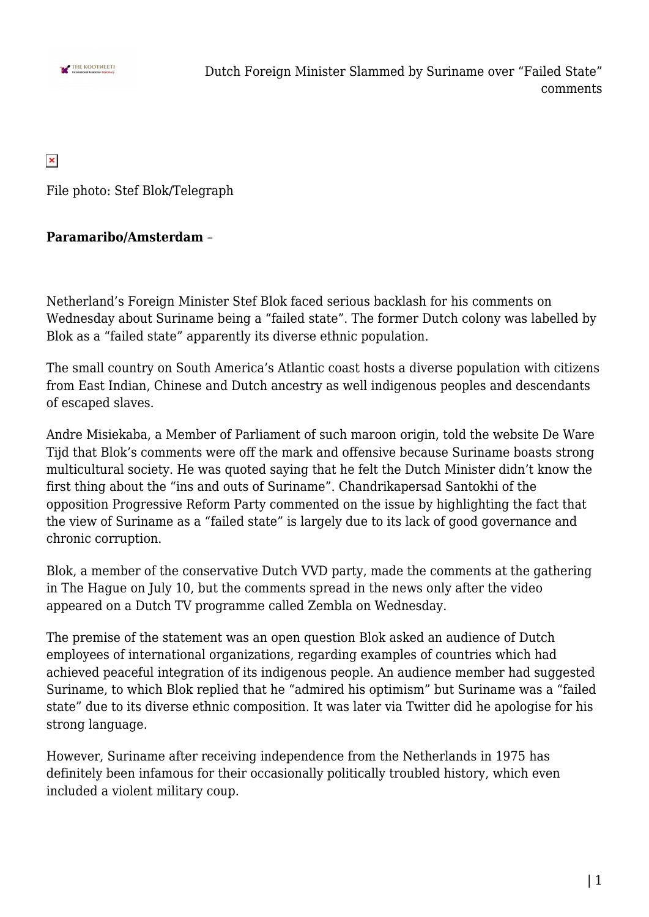

 $\pmb{\times}$ 

File photo: Stef Blok/Telegraph

## **Paramaribo/Amsterdam** –

Netherland's Foreign Minister Stef Blok faced serious backlash for his comments on Wednesday about Suriname being a "failed state". The former Dutch colony was labelled by Blok as a "failed state" apparently its diverse ethnic population.

The small country on South America's Atlantic coast hosts a diverse population with citizens from East Indian, Chinese and Dutch ancestry as well indigenous peoples and descendants of escaped slaves.

Andre Misiekaba, a Member of Parliament of such maroon origin, told the website De Ware Tijd that Blok's comments were off the mark and offensive because Suriname boasts strong multicultural society. He was quoted saying that he felt the Dutch Minister didn't know the first thing about the "ins and outs of Suriname". Chandrikapersad Santokhi of the opposition Progressive Reform Party commented on the issue by highlighting the fact that the view of Suriname as a "failed state" is largely due to its lack of good governance and chronic corruption.

Blok, a member of the conservative Dutch VVD party, made the comments at the gathering in The Hague on July 10, but the comments spread in the news only after the video appeared on a Dutch TV programme called Zembla on Wednesday.

The premise of the statement was an open question Blok asked an audience of Dutch employees of international organizations, regarding examples of countries which had achieved peaceful integration of its indigenous people. An audience member had suggested Suriname, to which Blok replied that he "admired his optimism" but Suriname was a "failed state" due to its diverse ethnic composition. It was later via Twitter did he apologise for his strong language.

However, Suriname after receiving independence from the Netherlands in 1975 has definitely been infamous for their occasionally politically troubled history, which even included a violent military coup.